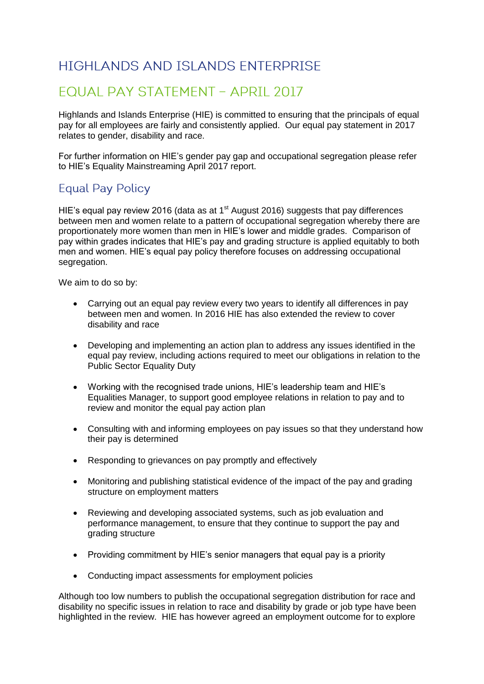## HIGHI ANDS AND ISI ANDS ENTERPRISE

## **EQUAL PAY STATEMENT - APRIL 2017**

Highlands and Islands Enterprise (HIE) is committed to ensuring that the principals of equal pay for all employees are fairly and consistently applied. Our equal pay statement in 2017 relates to gender, disability and race.

For further information on HIE's gender pay gap and occupational segregation please refer to HIE's Equality Mainstreaming April 2017 report.

## **Equal Pay Policy**

HIE's equal pay review 2016 (data as at  $1<sup>st</sup>$  August 2016) suggests that pay differences between men and women relate to a pattern of occupational segregation whereby there are proportionately more women than men in HIE's lower and middle grades. Comparison of pay within grades indicates that HIE's pay and grading structure is applied equitably to both men and women. HIE's equal pay policy therefore focuses on addressing occupational segregation.

We aim to do so by:

- Carrying out an equal pay review every two years to identify all differences in pay between men and women. In 2016 HIE has also extended the review to cover disability and race
- Developing and implementing an action plan to address any issues identified in the equal pay review, including actions required to meet our obligations in relation to the Public Sector Equality Duty
- Working with the recognised trade unions, HIE's leadership team and HIE's Equalities Manager, to support good employee relations in relation to pay and to review and monitor the equal pay action plan
- Consulting with and informing employees on pay issues so that they understand how their pay is determined
- Responding to grievances on pay promptly and effectively
- Monitoring and publishing statistical evidence of the impact of the pay and grading structure on employment matters
- Reviewing and developing associated systems, such as job evaluation and performance management, to ensure that they continue to support the pay and grading structure
- Providing commitment by HIE's senior managers that equal pay is a priority
- Conducting impact assessments for employment policies

Although too low numbers to publish the occupational segregation distribution for race and disability no specific issues in relation to race and disability by grade or job type have been highlighted in the review. HIE has however agreed an employment outcome for to explore